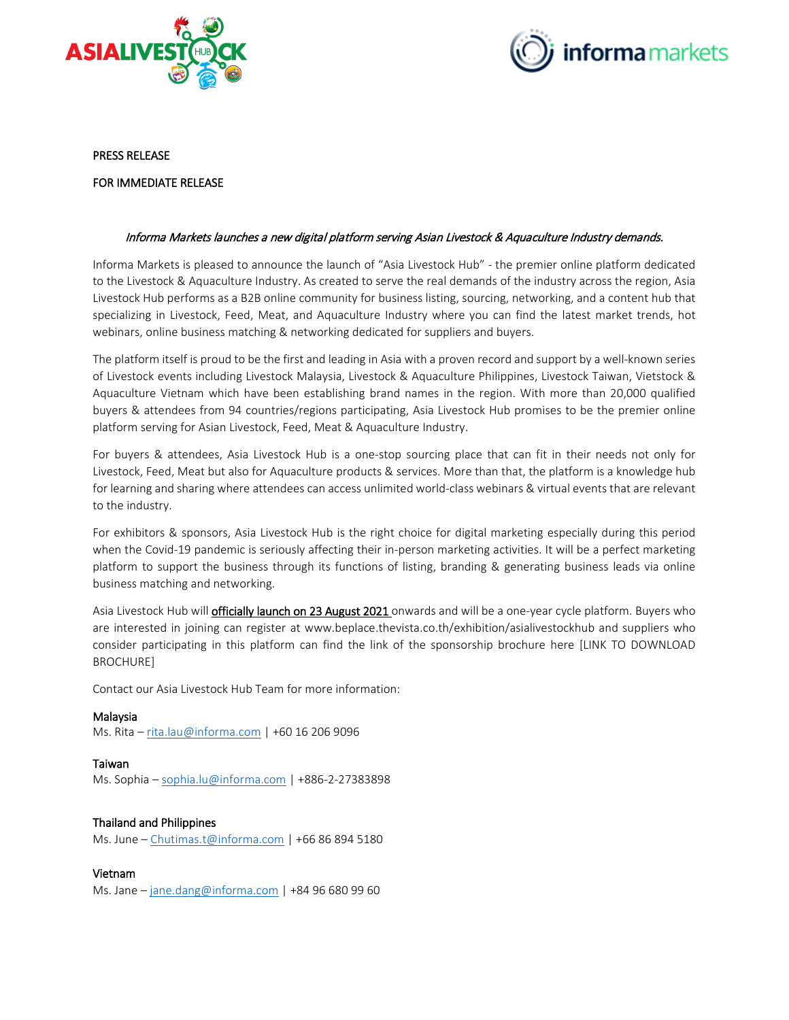



#### PRESS RELEASE

# FOR IMMEDIATE RELEASE

### Informa Markets launches a new digital platform serving Asian Livestock & Aquaculture Industry demands.

Informa Markets is pleased to announce the launch of "Asia Livestock Hub" - the premier online platform dedicated to the Livestock & Aquaculture Industry. As created to serve the real demands of the industry across the region, Asia Livestock Hub performs as a B2B online community for business listing, sourcing, networking, and a content hub that specializing in Livestock, Feed, Meat, and Aquaculture Industry where you can find the latest market trends, hot webinars, online business matching & networking dedicated for suppliers and buyers.

The platform itself is proud to be the first and leading in Asia with a proven record and support by a well-known series of Livestock events including Livestock Malaysia, Livestock & Aquaculture Philippines, Livestock Taiwan, Vietstock & Aquaculture Vietnam which have been establishing brand names in the region. With more than 20,000 qualified buyers & attendees from 94 countries/regions participating, Asia Livestock Hub promises to be the premier online platform serving for Asian Livestock, Feed, Meat & Aquaculture Industry.

For buyers & attendees, Asia Livestock Hub is a one-stop sourcing place that can fit in their needs not only for Livestock, Feed, Meat but also for Aquaculture products & services. More than that, the platform is a knowledge hub for learning and sharing where attendees can access unlimited world-class webinars & virtual events that are relevant to the industry.

For exhibitors & sponsors, Asia Livestock Hub is the right choice for digital marketing especially during this period when the Covid-19 pandemic is seriously affecting their in-person marketing activities. It will be a perfect marketing platform to support the business through its functions of listing, branding & generating business leads via online business matching and networking.

Asia Livestock Hub will **officially launch on 23 August 2021** onwards and will be a one-year cycle platform. Buyers who are interested in joining can register at www.beplace.thevista.co.th/exhibition/asialivestockhub and suppliers who consider participating in this platform can find the link of the sponsorship brochure here [LINK TO DOWNLOAD BROCHURE]

Contact our Asia Livestock Hub Team for more information:

#### Malaysia

Ms. Rita – [rita.lau@informa.com](mailto:rita.lau@informa.com) | +60 16 206 9096

# Taiwan

Ms. Sophia – [sophia.lu@informa.com](mailto:sophia.lu@informa.com) | +886-2-27383898

# Thailand and Philippines

Ms. June – [Chutimas.t@informa.com](mailto:Chutimas.t@informa.com) | +66 86 894 5180

#### Vietnam

Ms. Jane – [jane.dang@informa.com](mailto:jane.dang@informa.com) | +84 96 680 99 60